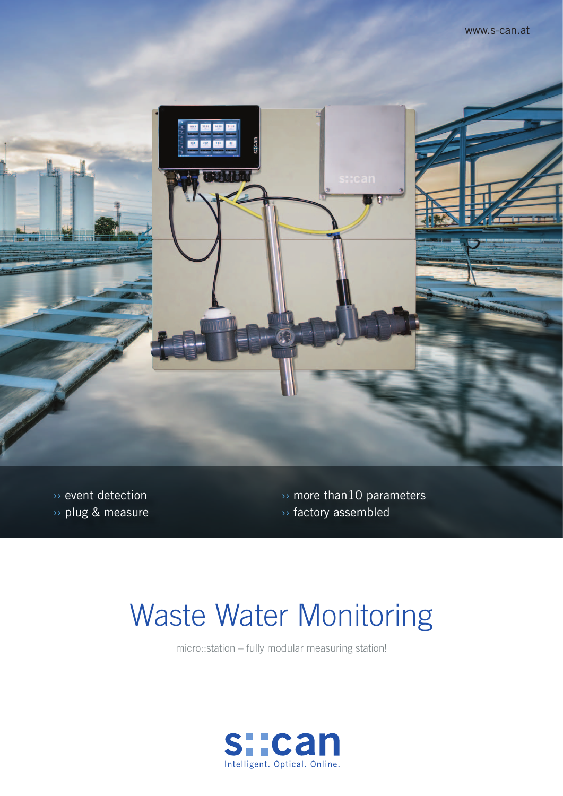

 $\overline{\mathcal{P}}$  event detection ›› plug & measure  $\rightarrow$  more than10 parameters ›› factory assembled

# Waste Water Monitoring

micro::station – fully modular measuring station!